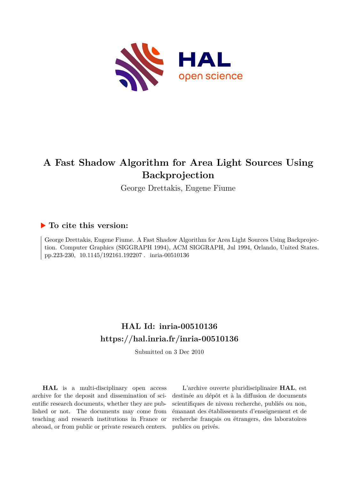

# **A Fast Shadow Algorithm for Area Light Sources Using Backprojection**

George Drettakis, Eugene Fiume

## **To cite this version:**

George Drettakis, Eugene Fiume. A Fast Shadow Algorithm for Area Light Sources Using Backprojection. Computer Graphics (SIGGRAPH 1994), ACM SIGGRAPH, Jul 1994, Orlando, United States. pp.223-230,  $10.1145/192161.192207$ . inria-00510136

# **HAL Id: inria-00510136 <https://hal.inria.fr/inria-00510136>**

Submitted on 3 Dec 2010

**HAL** is a multi-disciplinary open access archive for the deposit and dissemination of scientific research documents, whether they are published or not. The documents may come from teaching and research institutions in France or abroad, or from public or private research centers.

L'archive ouverte pluridisciplinaire **HAL**, est destinée au dépôt et à la diffusion de documents scientifiques de niveau recherche, publiés ou non, émanant des établissements d'enseignement et de recherche français ou étrangers, des laboratoires publics ou privés.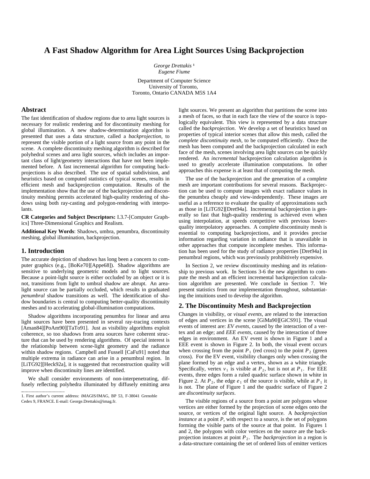### **A Fast Shadow Algorithm for Area Light Sources Using Backprojection**

*George Drettakis* **<sup>1</sup>** *Eugene Fiume*

Department of Computer Science University of Toronto, Toronto, Ontario CANADA M5S 1A4

#### **Abstract**

The fast identification of shadow regions due to area light sources is necessary for realistic rendering and for discontinuity meshing for global illumination. A new shadow-determination algorithm is presented that uses a data structure, called a *backprojection*, to represent the visible portion of a light source from any point in the scene. A complete discontinuity meshing algorithm is described for polyhedral scenes and area light sources, which includes an important class of light/geometry interactions that have not been implemented before. A fast incremental algorithm for computing backprojections is also described. The use of spatial subdivision, and heuristics based on computed statistics of typical scenes, results in efficient mesh and backprojection computation. Results of the implementation show that the use of the backprojection and discontinuity meshing permits accelerated high-quality rendering of shadows using both ray-casting and polygon-rendering with interpolants.

**CR Categories and Subject Descriptors:** I.3.7-[Computer Graphics] Three-Dimensional Graphics and Realism.

**Additional Key Words**: Shadows, umbra, penumbra, discontinuity meshing, global illumination, backprojection.

#### **1. Introduction**

hhhhhhhhhhhhhhhhhhhhh

The accurate depiction of shadows has long been a concern to computer graphics (e.g., [BoKe70][Appe68]). Shadow algorithms are sensitive to underlying geometric models and to light sources. Because a point-light source is either occluded by an object or it is not, transitions from light to umbral shadow are abrupt. An arealight source can be partially occluded, which results in graduated *penumbral* shadow transitions as well. The identification of shadow boundaries is central to computing better-quality discontinuity meshes and to accelerating global-illumination computations.

Shadow algorithms incorporating penumbra for linear and area light sources have been presented in several ray-tracing contexts [Aman84][PoAm90][TaTo91]. Just as visibility algorithms exploit coherence, so too shadows from area sources have coherent structure that can be used by rendering algorithms. Of special interest is the relationship between scene-light geometry and the radiance within shadow regions. Campbell and Fussell [CaFu91] noted that multiple extrema in radiance can arise in a penumbral region. In [LiTG92][Heck92a], it is suggested that reconstruction quality will improve when discontinuity lines are identified.

We shall consider environments of non-interpenetrating, diffusely reflecting polyhedra illuminated by diffusely emitting area light sources. We present an algorithm that partitions the scene into a mesh of faces, so that in each face the view of the source is topologically equivalent. This view is represented by a data structure called the *backprojection*. We develop a set of heuristics based on properties of typical interior scenes that allow this mesh, called the *complete discontinuity mesh*, to be computed efficiently. Once the mesh has been computed and the backprojection calculated in each face of the mesh, scenes involving area light sources can be quickly rendered. An *incremental* backprojection calculation algorithm is used to greatly accelerate illumination computations. In other approaches this expense is at least that of computing the mesh.

The use of the backprojection and the generation of a complete mesh are important contributions for several reasons. Backprojection can be used to compute images with exact radiance values in the penumbra cheaply and view-independently. These images are useful as a reference to evaluate the quality of approximations such as those in [LiTG92][Dret94a]. Incremental backprojection is generally so fast that high-quality rendering is achieved even when using interpolation, at speeds competitive with previous lowerquality interpolatory approaches. A complete discontinuity mesh is essential to computing backprojections, and it provides precise information regarding variation in radiance that is unavailable in other approaches that compute incomplete meshes. This information has been used for the study of radiance properties [Dret94a] in penumbral regions, which was previously prohibitively expensive.

In Section 2, we review discontinuity meshing and its relationship to previous work. In Sections 3-6 the new algorithm to compute the mesh and an efficient incremental backprojection calculation algorithm are presented. We conclude in Section 7. We present statistics from our implementation throughout, substantiating the intuitions used to develop the algorithm.

#### **2. The Discontinuity Mesh and Backprojection**

Changes in visibility, or *visual events*, are related to the interaction of edges and vertices in the scene [GiMa90][GiCS91]. The visual events of interest are: *EV events*, caused by the interaction of a vertex and an edge; and *EEE events*, caused by the interaction of three edges in environment. An EV event is shown in Figure 1 and a EEE event is shown in Figure 2. In both, the visual event occurs when crossing from the point  $P_1$  (red cross) to the point  $P_2$  (green cross). For the EV event, visibility changes only when crossing the plane formed by an edge and a vertex, shown as a white triangle. Specifically, vertex  $v_1$  is visible at  $P_2$ , but is not at  $P_1$ . For EEE events, three edges form a ruled quadric surface shown in white in Figure 2. At  $P_2$ , the edge  $e_1$  of the source is visible, while at  $P_1$  it is not. The plane of Figure 1 and the quadric surface of Figure 2 are *discontinuity surfaces*.

The visible regions of a source from a point are polygons whose vertices are either formed by the projection of scene edges onto the source, or vertices of the original light source. A *backprojection instance* at a point *P*, with respect to a source, is the set of polygons forming the visible parts of the source at that point. In Figures 1 and 2, the polygons with color vertices on the source are the backprojection instances at point *P*<sup>2</sup> . The *backprojection* in a region is a data-structure containing the set of ordered lists of emitter vertices

<sup>1.</sup> First author's current address: iMAGIS/IMAG, BP 53, F-38041 Grenoble Cedex 9, FRANCE. E-mail: George.Drettakis@imag.fr.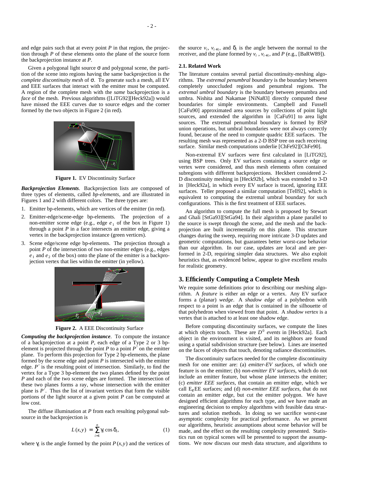and edge pairs such that at every point  $P$  in that region, the projection through *P* of these elements onto the plane of the source form the backprojection instance at *P*.

Given a polygonal light source  $\sigma$  and polygonal scene, the partition of the scene into regions having the same backprojection is the *complete discontinuity mesh* of σ. To generate such a mesh, all EV and EEE surfaces that interact with the emitter must be computed. A region of the complete mesh with the *same* backprojection is a *face* of the mesh. Previous algorithms ([LiTG92][Heck92a]) would have missed the EEE curves due to source edges and the corner formed by the two objects in Figure 2 (in red).



**Figure 1.** EV Discontinuity Surface

*Backprojection Elements*. Backprojection lists are composed of three types of elements, called *bp-elements*, and are illustrated in Figures 1 and 2 with different colors. The three types are:

- 1. Emitter bp-elements, which are vertices of the emitter (in red).
- 2. Emitter-edge/scene-edge bp-elements. The projection of a non-emitter scene edge (e.g., edge  $e_1$  of the box in Figure 1) through a point *P* in a face intersects an emitter edge, giving a vertex in the backprojection instance (green vertices).
- 3. Scene edge/scene edge bp-elements. The projection through a point *P* of the intersection of two non-emitter edges (e.g., edges  $e_1$  and  $e_2$  of the box) onto the plane of the emitter is a backprojection vertex that lies within the emitter (in yellow).



**Figure 2.** A EEE Discontinuity Surface

*Computing the backprojection instance*. To compute the instance of a backprojection at a point *P*, each edge of a Type 2 or 3 bpelement is projected through the point *P* to a point *P*′ on the emitter plane. To perform this projection for Type 2 bp-elements, the plane formed by the scene edge and point *P* is intersected with the emitter edge. *P*′ is the resulting point of intersection. Similarly, to find the vertex for a Type 3 bp-element the two planes defined by the point *P* and each of the two scene edges are formed. The intersection of these two planes forms a ray, whose intersection with the emitter plane is *P*′. Thus the list of invariant vertices that form the visible portions of the light source at a given point *P* can be computed at low cost.

The diffuse illumination at *P* from each resulting polygonal subsource in the backprojection is

$$
L(x,y) = \sum_{i=1}^{n} \gamma_i \cos \delta_i, \qquad (1)
$$

where  $\gamma_i$  is the angle formed by the point  $P(x, y)$  and the vertices of

#### **2.1. Related Work**

The literature contains several partial discontinuity-meshing algorithms. The *extremal penumbral boundary* is the boundary between completely unoccluded regions and penumbral regions. The *extremal umbral boundary* is the boundary between penumbra and umbra. Nishita and Nakamae [NiNa83] directly computed these boundaries for simple environments. Campbell and Fussell [CaFu90] approximated area sources by collections of point light sources, and extended the algorithm in [CaFu91] to area light sources. The extremal penumbral boundary is formed by BSP union operations, but umbral boundaries were not always correctly found, because of the need to compute quadric EEE surfaces. The resulting mesh was represented as a 2-D BSP tree on each receiving surface. Similar mesh computations underlie [ChFe92][ChFe90].

Non-extremal EV surfaces were first calculated in [LiTG92], using BSP trees. Only EV surfaces containing a source edge or vertex were considered, and thus mesh elements often contained subregions with different backprojections. Heckbert considered 2- D discontinuity meshing in [Heck92b], which was extended to 3-D in [Heck92a], in which every EV surface is traced, ignoring EEE surfaces. Teller proposed a similar computation [Tell92], which is equivalent to computing the extremal umbral boundary for such configurations. This is the first treatment of EEE surfaces.

An algorithm to compute the full mesh is proposed by Stewart and Ghali [StGa93][StGa94]. In their algorithm a plane parallel to the source is swept through the scene, and the mesh and the backprojection are built incrementally on this plane. This structure changes during the sweep, requiring more intricate 3-D updates and geometric computations, but guarantees better worst-case behavior than our algorithm. In our case, updates are local and are performed in 2-D, requiring simpler data structures. We also exploit heuristics that, as evidenced below, appear to give excellent results for realistic geometry.

#### **3. Efficiently Computing a Complete Mesh**

We require some definitions prior to describing our meshing algorithm. A *feature* is either an edge or a vertex. Any EV surface forms a (planar) *wedge*. A *shadow edge* of a polyhedron with respect to a point is an edge that is contained in the silhouette of that polyhedron when viewed from that point. A *shadow vertex* is a vertex that is attached to at least one shadow edge.

Before computing discontinuity surfaces, we compute the lines at which objects touch. These are *D* 0 *events* in [Heck92a]. Each object in the environment is visited, and its neighbors are found using a spatial subdivision structure (see below). Lines are inserted on the faces of objects that touch, denoting radiance discontinuities.

The discontinuity surfaces needed for the complete discontinuity mesh for one emitter are: (a) *emitter-EV surfaces*, of which one feature is on the emitter; (b) *non-emitter EV surfaces*, which do not include an emitter feature, but whose plane intersects the emitter; (c) *emitter EEE surfaces*, that contain an emitter edge, which we call EeEE surfaces; and (d) *non-emitter EEE surfaces*, that do not contain an emitter edge, but cut the emitter polygon. We have designed efficient algorithms for each type, and we have made an engineering decision to employ algorithms with feasible data structures and solution methods. In doing so we sacrifice worst-case asymptotic complexity for practical performance. As we present our algorithms, heuristic assumptions about scene behavior will be made, and the effect on the resulting complexity presented. Statistics run on typical scenes will be presented to support the assumptions. We now discuss our mesh data structure, and algorithms to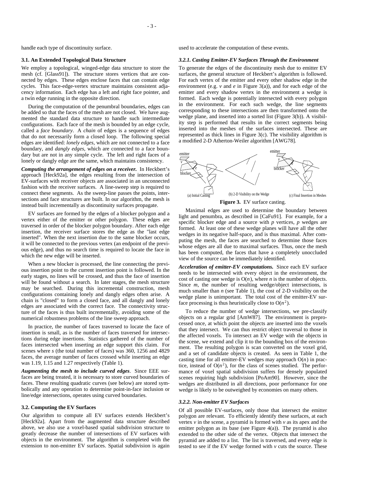handle each type of discontinuity surface.

#### **3.1. An Extended Topological Data Structure**

We employ a topological, winged-edge data structure to store the mesh (cf. [Glass91]). The structure stores vertices that are connected by edges. These edges enclose faces that can contain edge cycles. This face-edge-vertex structure maintains consistent adjacency information. Each edge has a left and right face pointer, and a twin edge running in the opposite direction.

During the computation of the penumbral boundaries, edges can be added so that the faces of the mesh are not closed. We have augmented the standard data structure to handle such intermediate configurations. Each face of the mesh is bounded by an edge cycle, called a *face boundary*. A *chain* of edges is a sequence of edges that do not necessarily form a closed loop. The following special edges are identified: *lonely edges*, which are not connected to a face boundary, and *dangly edges*, which are connected to a face boundary but are not in any simple cycle. The left and right faces of a lonely or dangly edge are the same, which maintains consistency.

*Computing the arrangement of edges on a receiver.* In Heckbert's approach [Heck92a], the edges resulting from the intersection of EV-surfaces with receiver objects are associated in an unconnected fashion with the receiver surfaces. A line-sweep step is required to connect these segments. As the sweep-line passes the points, intersections and face structures are built. In our algorithm, the mesh is instead built incrementally as discontinuity surfaces propagate.

EV surfaces are formed by the edges of a blocker polygon and a vertex either of the emitter or other polygon. These edges are traversed in order of the blocker polygon boundary. After each edge insertion, the receiver surface stores the edge as the "last edge inserted". When the next insertion due to the same blocker occurs, it will be connected to the previous vertex (an endpoint of the previous edge), and thus no search time is required to locate the face in which the new edge will be inserted.

When a new blocker is processed, the line connecting the previous insertion point to the current insertion point is followed. In the early stages, no lines will be crossed, and thus the face of insertion will be found without a search. In later stages, the mesh structure may be searched. During this incremental construction, mesh configurations containing lonely and dangly edges often arise. A chain is "closed" to form a closed face, and all dangly and lonely edges are associated with the correct face. The connectivity structure of the faces is thus built incrementally, avoiding some of the numerical robustness problems of the line sweep approach.

In practice, the number of faces traversed to locate the face of insertion is small, as is the number of faces traversed for intersections during edge insertions. Statistics gathered of the number of faces intersected when inserting an edge support this claim. For scenes where *s* (the total number of faces) was 360, 1256 and 4829 faces, the average number of faces crossed while inserting an edge was 1.19, 1.15 and 1.27 respectively (Table 1).

*Augmenting the mesh to include curved edges*. Since EEE surfaces are being treated, it is necessary to store curved boundaries of faces. These resulting quadratic curves (see below) are stored symbolically and any operation to determine point-in-face inclusion or line/edge intersections, operates using curved boundaries.

#### **3.2. Computing the EV Surfaces**

Our algorithm to compute all EV surfaces extends Heckbert's [Heck92a]. Apart from the augmented data structure described above, we also use a voxel-based spatial subdivision structure to greatly decrease the number of intersections of EV surfaces with objects in the environment. The algorithm is completed with the extension to non-emitter EV surfaces. Spatial subdivision is again

#### *3.2.1. Casting Emitter-EV Surfaces Through the Environment*

To generate the edges of the discontinuity mesh due to emitter EV surfaces, the general structure of Heckbert's algorithm is followed. For each vertex of the emitter and every other shadow edge in the environment (e.g. *v* and *e* in Figure 3(a)), and for each edge of the emitter and every shadow vertex in the environment a wedge is formed. Each wedge is potentially intersected with every polygon in the environment. For each such wedge, the line segments corresponding to these intersections are then transformed onto the wedge plane, and inserted into a sorted list (Figure 3(b)). A visibility step is performed that results in the correct segments being inserted into the meshes of the surfaces intersected. These are represented as thick lines in Figure 3(c). The visibility algorithm is a modified 2-D Atherton-Weiler algorithm [AWG78].



**Figure 3.** EV surface casting.

Maximal edges are used to determine the boundary between light and penumbra, as described in [CaFu91]. For example, for a specific blocker edge and a source with *p* vertices, *p* wedges are formed. At least one of these wedge planes will have all the other wedges in its negative half-space, and is thus maximal. After computing the mesh, the faces are searched to determine those faces whose edges are all due to maximal surfaces. Thus, once the mesh has been computed, the faces that have a completely unoccluded view of the source can be immediately identified.

*Acceleration of emitter-EV computations.* Since each EV surface needs to be intersected with every object in the environment, the cost of casting one wedge is  $O(n)$ , where *n* is the number of objects. Since *m*, the number of resulting wedge/object intersections, is much smaller than *n* (see Table 1), the cost of 2-D visibility on the wedge plane is unimportant. The total cost of the emitter-EV surface processing is thus heuristically close to  $O(n^2)$ .

To reduce the number of wedge intersections, we pre-classify objects on a regular grid [AmW87]. The environment is preprocessed once, at which point the objects are inserted into the voxels that they intersect. We can thus restrict object traversal to those in the affected voxels. To intersect an EV wedge with the objects in the scene, we extend and clip it to the bounding box of the environment. The resulting polygon is scan converted on the voxel grid, and a set of candidate objects is created. As seen in Table 1, the casting time for all emitter-EV wedges may approach  $O(n)$  in practice, instead of  $O(n^2)$ , for the class of scenes studied. The performance of voxel spatial subdivision suffers for densely populated scenes requiring high subdivision [PoAm90]. However, since the wedges are distributed in all directions, poor performance for one wedge is likely to be outweighed by economies on many others.

#### *3.2.2. Non-emitter EV Surfaces*

Of all possible EV-surfaces, only those that intersect the emitter polygon are relevant. To efficiently identify these surfaces, at each vertex  $\nu$  in the scene, a pyramid is formed with  $\nu$  as its apex and the emitter polygon as its base (see Figure 4(a)). The pyramid is also extended to the other side of the vertex. Objects that intersect the pyramid are added to a list. The list is traversed, and every edge is tested to see if the EV wedge formed with *v* cuts the source. These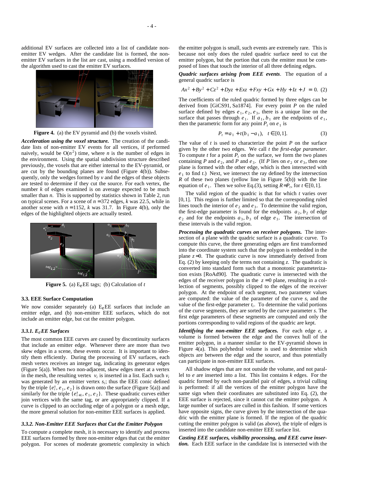additional EV surfaces are collected into a list of candidate nonemitter EV wedges. After the candidate list is formed, the nonemitter EV surfaces in the list are cast, using a modified version of the algorithm used to cast the emitter EV surfaces.



**Figure 4.** (a) the EV pyramid and (b) the voxels visited.

*Acceleration using the voxel structure.* The creation of the candidate lists of non-emitter EV events for all vertices, if performed naively, would be  $O(n^2)$  time, where *n* is the number of edges in the environment. Using the spatial subdivision structure described previously, the voxels that are either internal to the EV-pyramid, or are cut by the bounding planes are found (Figure 4(b)). Subsequently, only the wedges formed by *v* and the edges of these objects are tested to determine if they cut the source. For each vertex, the number *k* of edges examined is on average expected to be much smaller than *n*. This is supported by statistics shown in Table 2, run on typical scenes. For a scene of *n* = 372 edges, *k* was 22.5, while in another scene with  $n = 1152$ , *k* was 31.7. In Figure 4(b), only the edges of the highlighted objects are actually tested.



**Figure 5.** (a)  $E_e$ EE tags; (b) Calculation of *t* 

#### **3.3. EEE Surface Computation**

We now consider separately (a)  $E<sub>e</sub>EE$  surfaces that include an emitter edge, and (b) non-emitter EEE surfaces, which do not include an emitter edge, but cut the emitter polygon.

#### *3.3.1. EeEE Surfaces*

The most common EEE curves are caused by discontinuity surfaces that include an emitter edge. Whenever there are more than two skew edges in a scene, these events occur. It is important to identify them efficiently. During the processing of EV surfaces, each mesh vertex receives an integer tag, indicating its generator edges (Figure 5(a)). When two non-adjacent, skew edges meet at a vertex in the mesh, the resulting vertex  $v_i$  is inserted in a list. Each such  $v_i$ was generated by an emitter vertex  $s_i$ ; thus the EEE conic defined by the triple  $\{e_i^s, e_1, e_2\}$  is drawn onto the surface (Figure 5(a)) and similarly for the triple  $\{e_{i+1}^s, e_1, e_2\}$ . These quadratic curves either join vertices with the same tag, or are appropriately clipped. If a curve is clipped to an occluding edge of a polygon or a mesh edge, the more general solution for non-emitter EEE surfaces is applied.

#### *3.3.2. Non-Emitter EEE Surfaces that Cut the Emitter Polygon*

To compute a complete mesh, it is necessary to identify and process EEE surfaces formed by three non-emitter edges that cut the emitter polygon. For scenes of moderate geometric complexity in which the emitter polygon is small, such events are extremely rare. This is because not only does the ruled quadric surface need to cut the emitter polygon, but the portion that cuts the emitter must be composed of lines that touch the interior of all three defining edges.

*Quadric surfaces arising from EEE events*. The equation of a general quadric surface is

$$
Ax^{2} + By^{2} + Cz^{2} + Dyz + Exz + Fxy + Gx + Hy + Iz + J = 0.
$$
 (2)

The coefficients of the ruled quadric formed by three edges can be derived from [GiCS91, Sa1874]. For every point *P* on the ruled surface defined by edges  $e_1, e_2, e_3$ , there is a unique line on the surface that passes through  $e_1$ . If  $a_1, b_1$  are the endpoints of  $e_1$ , then the parametric form for any point  $P_t$  on  $e_1$  is

$$
P_t = a_1 + t(b_1 - a_1), \quad t \in [0, 1].
$$
 (3)

The value of *t* is used to characterize the point *P* on the surface given by the other two edges. We call *t* the *first-edge parameter*. To compute  $t$  for a point  $P_t$  on the surface, we form the two planes containing *P* and  $e_2$ , and *P* and  $e_3$ . (If *P* lies on  $e_2$  or  $e_3$ , then one plane is formed with the other edge, which is then intersected with  $e_1$  to find *t*.) Next, we intersect the ray defined by the intersection  $R$  of these two planes (yellow line in Figure 5(b)) with the line equation of  $e_1$ . Then we solve Eq.(3), setting  $R = P_t$ , for  $t \in [0, 1]$ .

The valid region of the quadric is that for which *t* varies over [0,1]. This region is further limited so that the corresponding ruled lines touch the interior of  $e_2$  and  $e_3$ . To determine the valid region, the first-edge parameter is found for the endpoints  $a_2, b_2$  of edge  $e_2$  and for the endpoints  $a_3$ ,  $b_3$  of edge  $e_3$ . The intersection of these intervals is the valid region.

*Processing the quadratic curves on receiver polygons.* The intersection of a plane with the quadric surface is a quadratic curve. To compute this curve, the three generating edges are first transformed into the coordinate system such that the polygon is embedded in the plane *z* =0. The quadratic curve is now immediately derived from Eq. (2) by keeping only the terms not containing *z*. The quadratic is converted into standard form such that a monotonic parameterization exists [RoAd90]. The quadratic curve is intersected with the edges of the receiver polygon in the  $z = 0$  plane, resulting in a collection of segments, possibly clipped to the edges of the receiver polygon. At the endpoint of each segment, two parameter values are computed: the value of the parameter of the curve  $s_i$  and the value of the first-edge parameter  $t_i$ . To determine the valid portions of the curve segments, they are sorted by the curve parameter *s*. The first edge parameters of these segments are computed and only the portions corresponding to valid regions of the quadric are kept.

*Identifying the non-emitter EEE surfaces.* For each edge *e*, a volume is formed between the edge and the convex hull of the emitter polygon, in a manner similar to the EV-pyramid shown in Figure 4(a). This polyhedral volume is used to determine which objects are between the edge and the source, and thus potentially can participate in non-emitter EEE surfaces.

All shadow edges that are not outside the volume, and not parallel to *e* are inserted into a list. This list contains *k* edges. For the quadric formed by each non-parallel pair of edges, a trivial culling is performed: if all the vertices of the emitter polygon have the same sign when their coordinates are substituted into Eq. (2), the EEE surface is rejected, since it cannot cut the emitter polygon. A large number of surfaces are culled in this fashion. If some vertices have opposite signs, the curve given by the intersection of the quadric with the emitter plane is formed. If the region of the quadric cutting the emitter polygon is valid (as above), the triple of edges is inserted into the candidate non-emitter EEE surface list.

*Casting EEE surfaces, visibility processing, and EEE curve insertion.* Each EEE surface in the candidate list is intersected with the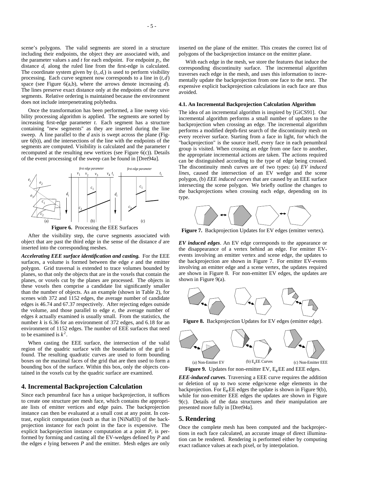scene's polygons. The valid segments are stored in a structure including their endpoints, the object they are associated with, and the parameter values  $s$  and  $t$  for each endpoint. For endpoint  $p_i$ , the distance *d<sup>i</sup>* along the ruled line from the first-edge is calculated. The coordinate system given by  $(t_i, d_i)$  is used to perform visibility processing. Each curve segment now corresponds to a line in (*t*,*d*) space (see Figure 6(a,b), where the arrows denote increasing *d*). The lines preserve exact distance only at the endpoints of the curve segments. Relative ordering is maintained because the environment does not include interpenetrating polyhedra.

Once the transformation has been performed, a line sweep visibility processing algorithm is applied. The segments are sorted by increasing first-edge parameter *t*. Each segment has a structure containing "new segments" as they are inserted during the line sweep. A line parallel to the *d* axis is swept across the plane (Figure  $6(b)$ ), and the intersections of the line with the endpoints of the segments are computed. Visibility is calculated and the parameter *t* recomputed at the resulting new vertices (see Figure 6(c)). Details of the event processing of the sweep can be found in [Dret94a].



**Figure 6.** Processing the EEE Surfaces

After the visibility step, the curve segments associated with object that are past the third edge in the sense of the distance *d* are inserted into the corresponding meshes.

*Accelerating EEE surface identification and casting.* For the EEE surfaces, a volume is formed between the edge *e* and the emitter polygon. Grid traversal is extended to trace volumes bounded by planes, so that only the objects that are in the voxels that contain the planes, or voxels cut by the planes are processed. The objects in these voxels then comprise a candidate list significantly smaller than the number of objects. As an example (shown in Table 2), for scenes with 372 and 1152 edges, the average number of candidate edges is 46.74 and 67.37 respectively. After rejecting edges outside the volume, and those parallel to edge *e*, the average number of edges *k* actually examined is usually small. From the statistics, the number *k* is 6.36 for an environment of 372 edges, and 6.18 for an environment of 1152 edges. The number of EEE surfaces that need to be examined is  $k^2$ .

When casting the EEE surface, the intersection of the valid region of the quadric surface with the boundaries of the grid is found. The resulting quadratic curves are used to form bounding boxes on the maximal faces of the grid that are then used to form a bounding box of the surface. Within this box, only the objects contained in the voxels cut by the quadric surface are examined.

#### **4. Incremental Backprojection Calculation**

Since each penumbral face has a unique backprojection, it suffices to create one structure per mesh face, which contains the appropriate lists of emitter vertices and edge pairs. The backprojection instance can then be evaluated at a small cost at any point. In contrast, explicit computation (such as that in [NiNa83]) of the backprojection instance for each point in the face is expensive. The explicit backprojection instance computation at a point *P*, is performed by forming and casting all the EV-wedges defined by *P* and the edges *e* lying between *P* and the emitter. Mesh edges are only

With each edge in the mesh, we store the features that induce the corresponding discontinuity surface. The incremental algorithm traverses each edge in the mesh, and uses this information to incrementally update the backprojection from one face to the next. The expensive explicit backprojection calculations in each face are thus avoided.

#### **4.1. An Incremental Backprojection Calculation Algorithm**

The idea of an incremental algorithm is inspired by [GiCS91]. Our incremental algorithm performs a small number of updates to the backprojection when crossing an edge. The incremental algorithm performs a modified depth-first search of the discontinuity mesh on every receiver surface. Starting from a face in light, for which the "backprojection" is the source itself, every face in each penumbral group is visited. When crossing an edge from one face to another, the appropriate incremental actions are taken. The actions required can be distinguished according to the type of edge being crossed. The discontinuity mesh curves are of two types: (a) *EV induced lines*, caused the intersection of an EV wedge and the scene polygon, (b) *EEE induced curves* that are caused by an EEE surface intersecting the scene polygon. We briefly outline the changes to the backprojections when crossing each edge, depending on its type.



**Figure 7.** Backprojection Updates for EV edges (emitter vertex).

*EV induced edges*. An EV edge corresponds to the appearance or the disappearance of a vertex behind an edge. For emitter EVevents involving an emitter vertex and scene edge, the updates to the backprojection are shown in Figure 7. For emitter EV-events involving an emitter edge and a scene vertex, the updates required are shown in Figure 8. For non-emitter EV edges, the updates are shown in Figure 9(a).



**Figure 8.** Backprojection Updates for EV edges (emitter edge).



Figure 9. Updates for non-emitter EV, E<sub>e</sub>EE and EEE edges.

*EEE-induced curves*. Traversing a EEE curve requires the addition or deletion of up to two scene edge/scene edge elements in the backprojection. For  $E_eEE$  edges the update is shown in Figure 9(b), while for non-emitter EEE edges the updates are shown in Figure 9(c). Details of the data structures and their manipulation are presented more fully in [Dret94a].

#### **5. Rendering**

Once the complete mesh has been computed and the backprojections in each face calculated, an accurate image of direct illumination can be rendered. Rendering is performed either by computing exact radiance values at each pixel, or by interpolation.

*i*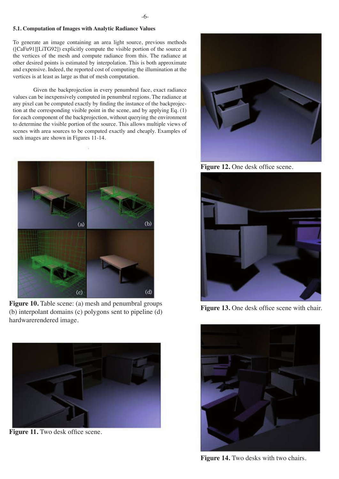#### **5.1. Computation of Images with Analytic Radiance Values**

To generate an image containing an area light source, previous methods ([CaFu91][LiTG92]) explicitly compute the visible portion of the source at the vertices of the mesh and compute radiance from this. The radiance at other desired points is estimated by interpolation. This is both approximate and expensive. Indeed, the reported cost of computing the illumination at the vertices is at least as large as that of mesh computation.

Given the backprojection in every penumbral face, exact radiance values can be inexpensively computed in penumbral regions. The radiance at any pixel can be computed exactly by finding the instance of the backprojection at the corresponding visible point in the scene, and by applying Eq. (1) for each component of the backprojection, without querying the environment to determine the visible portion of the source. This allows multiple views of scenes with area sources to be computed exactly and cheaply. Examples of such images are shown in Figures 11-14.



**Figure 10.** Table scene: (a) mesh and penumbral groups (b) interpolant domains (c) polygons sent to pipeline (d) hardwarerendered image.



Figure 11. Two desk office scene.



Figure 12. One desk office scene.



Figure 13. One desk office scene with chair.



Figure 14. Two desks with two chairs.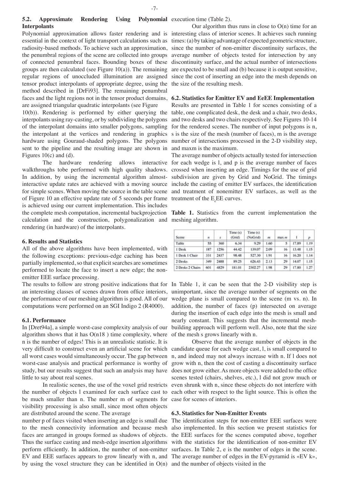### **5.2. Approximate Rendering Using Interpolants**

Polynomial approximation allows faster rendering and is interesting class of interior scenes. It achieves such running essential in the context of light transport calculations such as times: (a) by taking advantage of expected geometric structure, radiosity-based methods. To achieve such an approximation, since the number of non-emitter discontinuity surfaces, the the penumbral regions of the scene are collected into groups average number of objects tested for intersection by any of connected penumbral faces. Bounding boxes of these discontinuity surface, and the actual number of intersections groups are then calculated (see Figure 10(a)). The remaining are expected to be small and (b) because it is output sensitive, regular regions of unoccluded illumination are assigned since the cost of inserting an edge into the mesh depends on tensor product interpolants of appropriate degree, using the the size of the resulting mesh. method described in [DrFi93]. The remaining penumbral faces and the light regions not in the tensor product domains, **6.2. Statistics for Emitter EV and EeEE Implementation** are assigned triangular quadratic interpolants (see Figure

interpolants using ray-casting, or by subdividing the polygons sent to the pipeline and the resulting image are shown in and maxm is the maximum. Figures 10(c) and (d).

of Figure 10 an effective update rate of 5 seconds per frame treatment of the  $E_e$ EE curves. is achieved using our current implementation. This includes calculation and the construction, polygonalization and meshing algorithm. rendering (in hardware) of the interpolants.

#### **6. Results and Statistics**

All of the above algorithms have been implemented, with the following exceptions: previous-edge caching has been partially implemented, so that explicit searches are sometimes performed to locate the face to insert a new edge; the nonemitter EEE surface processing.

the performance of our meshing algorithm is good. All of our computations were performed on an SGI Indigo 2 (R4000).

#### **6.1. Performance**

In [Dret94a], a simple worst-case complexity analysis of our algorithm shows that it has  $O(n18)$  time complexity, where n is the number of edges! This is an unrealistic statistic. It is all worst cases would simultaneously occur. The gap between worst-case analysis and practical performance is worthy of study, but our results suggest that such an analysis may have little to say about real scenes.

the number of objects l examined for each surface cast to be much smaller than n. The number m of segments for visibility processing is also small, since most often objects are distributed around the scene. The average

number p of faces visited when inserting an edge is small due The identification steps for non-emitter EEE surfaces were to the mesh connectivity information and because mesh also implemented. In this section we present statistics for faces are arranged in groups formed as shadows of objects. the EEE surfaces for the scenes computed above, together Thus the surface casting and mesh-edge insertion algorithms with the statistics for the identification of non-emitter EV perform efficiently. In addition, the number of non-emitter surfaces. In Table 2, e is the number of edges in the scene. EV and EEE surfaces appears to grow linearly with n, and The average number of edges in the EV-pyramid is «EV k», by using the voxel structure they can be identified in  $O(n)$  and the number of objects visited in the

**Polynomial** execution time (Table 2).

Our algorithm thus runs in close to  $O(n)$  time for an

10(b)). Rendering is performed by either querying the table, one complicated desk, the desk and a chair, two desks, of the interpolant domains into smaller polygons, sampling for the rendered scenes. The number of input polygons is n, the interpolant at the vertices and rendering in graphics s is the size of the mesh (number of faces), m is the average hardware using Gouraud-shaded polygons. The polygons number of intersections processed in the 2-D visibility step, Results are presented in Table 1 for scenes consisting of a and two desks and two chairs respectively. See Figures 10-14

The hardware rendering allows interactive for each wedge is 1, and p is the average number of faces walkthroughs tobe performed with high quality shadows. crossed when inserting an edge. Timings for the use of grid In addition, by using the incremental algorithm almost-subdivision are given by Grid and NoGrid. The timings interactive update rates are achieved with a moving source include the casting of emitter EV surfaces, the identification for simple scenes. When moving the source in the table scene and treatment of nonemitter EV surfaces, as well as the The average number of objects actually tested for intersection

the complete mesh computation, incremental backprojection **Table 1.** Statistics from the current implementation the

| Scene            |     | s    | Time (s)<br>(Grid) | Time (s)<br>(NoGrid) | 川    | max m    |       | p    |
|------------------|-----|------|--------------------|----------------------|------|----------|-------|------|
| Table            | 55  | 360  | 6.34               | 9.29                 | 1.60 | s        | 17.89 | 1.19 |
| 1 Desk           | 187 | 1256 | 44.42              | 139.07               | 2.09 | 16       | 13.48 | 1.15 |
| 1 Desk 1 Chair   | 331 | 2437 | 98.48              | 527.30               | 1.91 | $16^{1}$ | 16.20 | 1.14 |
| 2 Desks          | 349 | 2488 | 89.25              | 626.43               | 2.13 | 29       | 14.07 | 1.15 |
| 2 Desks 2 Chairs | 601 | 4829 | 181.01             | 2302.27              | 1.98 | 29       | 17.80 | 1.27 |

The results to follow are strong positive indications that for In Table 1, it can be seen that the 2-D visibility step is an interesting classes of scenes drawn from office interiors, unimportant, since the average number of segments on the wedge plane is small compared to the scene (m vs. n). In addition, the number of faces (p) intersected on average during the insertion of each edge into the mesh is small and nearly constant. This suggests that the incremental meshbuilding approach will perform well. Also, note that the size of the mesh s grows linearly with n.

very difficult to construct even an artificial scene for which candidate queue for each wedge cast, l, is small compared to In realistic scenes, the use of the voxel grid restricts even shrunk with n, since these objects do not interfere with Observe that the average number of objects in the n, and indeed may not always increase with n. If l does not grow with n, then the cost of casting a discontinuity surface does not grow either. As more objects were added to the office scenes tested (chairs, shelves, etc.), l did not grow much or each other with respect to the light source. This is often the case for scenes of interiors.

#### **6.3. Statistics for Non-Emitter Events**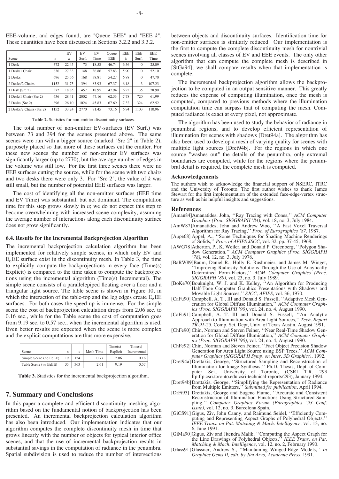|                          |            | EV    | EV    | EV    | Oueue | EEE  | EEE      | <b>EEE</b> |
|--------------------------|------------|-------|-------|-------|-------|------|----------|------------|
| Scene                    | $\epsilon$ | k     | Surf. | Time  | EEE   | k    | Surf.    | Time       |
| 1 Desk                   | 372        | 22.45 | 73    | 18.58 | 46.74 | 6.36 | $\Omega$ | 25.09      |
| 1 Desk/1 Chair           | 636        | 27.33 | 148   | 36.86 | 57.83 | 5.90 | $\Omega$ | 52.10      |
| 2 Desks                  | 696        | 25.56 | 168   | 38.81 | 54.27 | 6.88 | $\Omega$ | 47.70      |
| 2 Desks/2 Chairs         | 1152       | 31.75 | 394   | 83.93 | 67.37 | 6.18 | 3        | 107.23     |
| $1$ Desk (Src 2)         | 372        | 18.85 | 457   | 18.95 | 47.94 | 6.22 | 135      | 28.90      |
| 1 Desk/1 Chair (Src 2)   | 636        | 28.41 | 2002  | 47.16 | 62.33 | 7.78 | 720      | 61.99      |
| 2 Desks (Src 2)          | 696        | 26.10 | 1024  | 45.83 | 67.69 | 7.32 | 324      | 62.52      |
| 2 Desks/2 Chairs (Src 2) | 1152       | 33.24 | 2770  | 91.45 | 73.16 | 6.94 | 1103     | 110.96     |

EEE-volume, and edges found, are "Queue EEE" and "EEE *k*". These quantities have been discussed in Sections 3.2.2 and 3.3.2.

#### **Table 2.** Statistics for non-emitter discontinuity surfaces.

The total number of non-emitter EV-surfaces (EV Surf.) was between 73 and 394 for the scenes presented above. The same scenes were run with a bigger source (marked "Src 2" in Table 2), purposely placed so that more of these surfaces cut the emitter. For these new scenes the number of non-emitter EV surfaces was significantly larger (up to 2770), but the average number of edges in the volume was still low. For the first three scenes there were no EEE surfaces cutting the source, while for the scene with two chairs and two desks there were only 3. For "Src 2", the value of *k* was still small, but the number of potential EEE surfaces was larger.

The cost of identifying all the non-emitter surfaces (EEE time and EV Time) was substantial, but not dominant. The computation time for this step grows slowly in *n*; we do not expect this step to become overwhelming with increased scene complexity, assuming the average number of interactions along each discontinuity surface does not grow significantly.

#### **6.4. Results for the Incremental Backprojection Algorithm**

The incremental backprojection calculation algorithm has been implemented for relatively simple scenes, in which only EV and  $E<sub>e</sub>EE$  surface exist in the discontinuity mesh. In Table 3, the time to explicitly compute the backprojections in every face (Time(s) Explicit) is compared to the time taken to compute the backprojections using the incremental algorithm (Time(s) Incremental). The simple scene consists of a parallelepiped floating over a floor and a triangular light source. The table scene is shown in Figure 10, in which the interaction of the table-top and the leg edges create  $E<sub>e</sub>EE$ surfaces. For both cases the speed-up is immense. For the simple scene the cost of backprojection calculation drops from 2.06 sec. to 0.16 sec., while for the Table scene the cost of computation goes from 9.19 sec. to 0.57 sec., when the incremental algorithm is used. Even better results are expected when the scene is more complex and the explicit computations are thus more expensive.

|                        |    |     |           | Time(s)  | Time(s)     |
|------------------------|----|-----|-----------|----------|-------------|
| Scene                  | n  |     | Mesh Time | Explicit | Incremental |
| Simple Scene (no EeEE) | 19 | 154 | 0.77      | 2.06     | 0.16        |
| Table Scene (w/EeEE)   | 35 | 363 | 2.61      | 9.19     | 0.57        |

**Table 3.** Statistics for the incremental backprojection algorithm.

#### **7. Summary and Conclusions**

In this paper a complete and efficient discontinuity meshing algorithm based on the fundamental notion of backprojection has been presented. An incremental backprojection calculation algorithm has also been introduced. Our implementation indicates that our algorithm computes the complete discontinuity mesh in time that grows linearly with the number of objects for typical interior office scenes, and that the use of incremental backprojection results in substantial savings in the computation of radiance in the penumbra. Spatial subdivision is used to reduce the number of intersections between objects and discontinuity surfaces. Identification time for non-emitter surfaces is similarly reduced. Our implementation is the first to compute the complete discontinuity mesh for nontrivial scenes involving all classes of EV and EEE events. The only other algorithm that can compute the complete mesh is described in [StGa94]; we shall compare results when that implementation is complete.

The incremental backprojection algorithm allows the backprojection to be computed in an output sensitive manner. This greatly reduces the expense of computing illumination, once the mesh is computed, compared to previous methods where the illumination computation time can surpass that of computing the mesh. Computed radiance is exact at every pixel, not approximate.

The algorithm has been used to study the behavior of radiance in penumbral regions, and to develop efficient representation of illumination for scenes with shadows [Dret94a]. The algorithm has also been used to develop a mesh of varying quality for scenes with multiple light sources [Dret94b]. For the regions in which one source "washes out" the details of the penumbra, only extremal boundaries are computed, while for the regions where the penumbral detail is required, the complete mesh is computed.

#### **Acknowledgements**

The authors wish to acknowledge the financial support of NSERC, ITRC and the University of Toronto. The first author wishes to thank James Stewart for the first implementation of the extended face-edge-vertex structure as well as his helpful insights and suggestions.

#### **References**

- [Aman84]Amanatides, John, ''Ray Tracing with Cones,'' *ACM Computer Graphics (Proc. SIGGRAPH '84)*, vol. 18, no. 3, July 1984.
- [AmW87]Amanatides, John and Andrew Woo, ''A Fast Voxel Traversal Algorithm for Ray Tracing,'' *Proc. of Eurographics '87*, 1987.
- [Appe68] Appel, A., ''Some Techniques for Shading Machine Renderings of Solids,'' *Proc. of AFIPS JSCC*, vol. 32, pp. 37-45, 1968.
- [AWG78]Atherton, P., K. Weiler, and Donald P. Greenberg, ''Polygon Shadow Generation,'' *ACM Computer Graphics (Proc. SIGGRAPH '78)*, vol. 12, no. 3, July 1978.
- [BaRW89]Baum, Daniel R., Holly E. Rushmeier, and James M. Winget, 'Improving Radiosity Solutions Through the Use of Anaytically Determined Form-Factors,'' *ACM Computer Graphics (Proc. SIGGRAPH '89)*, vol. 23, no. 3, July 1989.
- [BoKe70]Bouknight, W. J. and K. Kelley, ''An Algorithm for Producing Half-Tone Computer Graphics Presentations with Shadows and Movable Light Sources,'' *SJCC, AFIPS*, vol. 36, 1970.
- [CaFu90] Campbell, A. T., III and Donald S. Fussell, ''Adaptive Mesh Generation for Global Diffuse Illumination,'' *ACM Computer Graphics (Proc. SIGGRAPH '90)*, vol. 24, no. 4, August 1990.
- [CaFu91] Campbell, A. T. III and Donald S. Fussell, ''An Analytic Approach to Illumination with Area Light Sources,'' *Tech. Report TR-91-25*, Comp. Sci. Dept, Univ. of Texas Austin, August 1991.
- [ChFe90] Chin, Norman and Steven Feiner, ''Near Real-Time Shadow Generation for Global Diffuse Illumination,'' *ACM Computer Graphics (Proc. SIGGRAPH '90)*, vol. 24, no. 4, August 1990.
- [ChFe92] Chin, Norman and Steven Feiner, ''Fact Object Precision Shadow Generation for Area Light Source using BSP Trees,'' *ACM Computer Graphics (SIGGRAPH Symp. on Inter. 3D Graphics)*, 1992.
- [Dret94a] Drettakis, George, ''Structured Sampling and Reconstruction of Illumination for Image Synthesis,'' Ph.D. Thesis, Dept. of Computer Sci., University of Toronto, (CSRI T.R. 293 ftp:ftp.csri.toronto.edu:csri-technical-reports/293), January 1994.
- [Dret94b]Drettakis, George, ''Simplifying the Representation of Radiance from Multiple Emitters,'' *Submitted for publication*, April 1994.
- [DrFi93] Drettakis, George and Eugene Fiume, ''Accurate and Consistent Reconstruction of Illumination Functions Using Structured Sampling,'' *Computer Graphics Forum (Eurographics '93 Conf. Issue)*, vol. 12, no. 3, Barcelona Spain.
- [GiCS91] Gigus, Ziv, John Canny, and Raimund Seidel, ''Efficiently Computing and Representing Aspect Graphs of Polyhedral Objects,'' *IEEE Trans. on Pat. Matching & Mach. Intelligence*, vol. 13, no. 6, June 1991.
- [GiMa90]Gigus, Ziv and Jitendra Malik, ''Computing the Aspect Graph for the Line Drawings of Polyhedral Objects,'' *IEEE Trans. on Pat. Matching & Mach. Intelligence*, vol. 12, no. 2, February 1990.
- [Glass91] Glassner, Andrew S., ''Maintaining Winged-Edge Models,'' *In Graphics Gems II, edit. by Jim Arvo, Academic Press*, 1991.